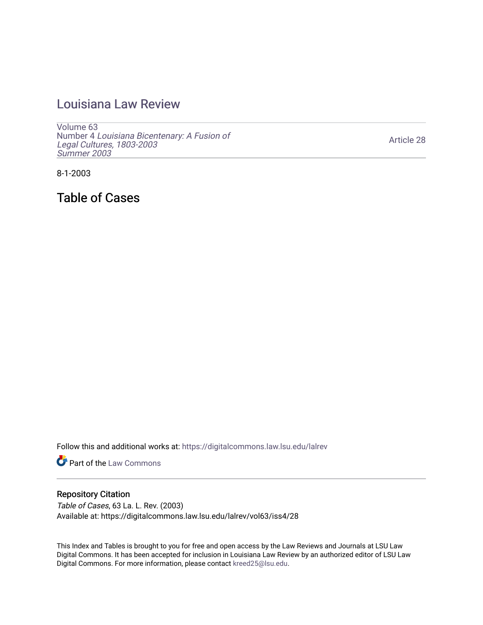## [Louisiana Law Review](https://digitalcommons.law.lsu.edu/lalrev)

[Volume 63](https://digitalcommons.law.lsu.edu/lalrev/vol63) Number 4 [Louisiana Bicentenary: A Fusion of](https://digitalcommons.law.lsu.edu/lalrev/vol63/iss4) [Legal Cultures, 1803-2003](https://digitalcommons.law.lsu.edu/lalrev/vol63/iss4) [Summer 2003](https://digitalcommons.law.lsu.edu/lalrev/vol63/iss4) 

[Article 28](https://digitalcommons.law.lsu.edu/lalrev/vol63/iss4/28) 

8-1-2003

Table of Cases

Follow this and additional works at: [https://digitalcommons.law.lsu.edu/lalrev](https://digitalcommons.law.lsu.edu/lalrev?utm_source=digitalcommons.law.lsu.edu%2Flalrev%2Fvol63%2Fiss4%2F28&utm_medium=PDF&utm_campaign=PDFCoverPages)

**Part of the [Law Commons](https://network.bepress.com/hgg/discipline/578?utm_source=digitalcommons.law.lsu.edu%2Flalrev%2Fvol63%2Fiss4%2F28&utm_medium=PDF&utm_campaign=PDFCoverPages)** 

## Repository Citation

Table of Cases, 63 La. L. Rev. (2003) Available at: https://digitalcommons.law.lsu.edu/lalrev/vol63/iss4/28

This Index and Tables is brought to you for free and open access by the Law Reviews and Journals at LSU Law Digital Commons. It has been accepted for inclusion in Louisiana Law Review by an authorized editor of LSU Law Digital Commons. For more information, please contact [kreed25@lsu.edu.](mailto:kreed25@lsu.edu)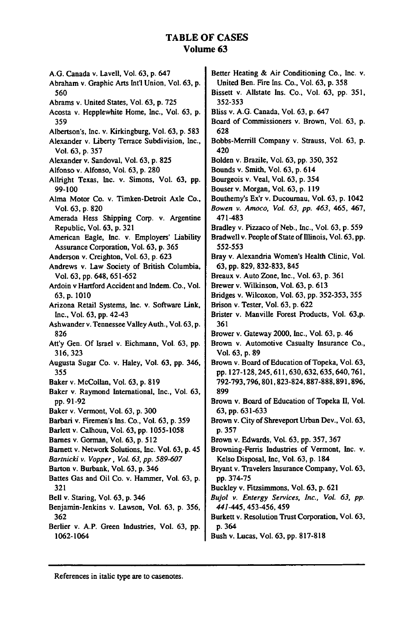## **TABLE OF CASES Volume 63**

A.G. Canada v. Lavell, Vol. 63, **p.** 647 Abraham v. Graphic Arts Int'l Union, Vol. **63, p. 560**  Abrams v. United States, Vol. **63, p. 725**  Acosta v. Hepplewhite Home, Inc., Vol. **63, p. 359**  Albertson's, Inc. v. Kirkingburg, Vol. **63, p. 583**  Alexander v. Liberty Terrace Subdivision, Inc., Vol. **63, p. 357**  Alexander v. Sandoval, Vol. **63, p. 825**  Alfonso v. Alfonso, Vol. **63, p. 280**  Allright Texas, Inc. v. Simons, Vol. **63, pp. 99-100**  Alma Motor Co. v. Timken-Detroit Axle Co., Vol. **63, p. 820**  Amerada Hess Shipping Corp. v. Argentine Republic, Vol. **63, p. 321**  American Eagle, Inc. v. Employers' liability Assurance Corporation, Vol. **63, p.** 365 Anderson v. Creighton, Vol. **63, p. 623**  Andrews v. Law Society of British Columbia, Vol. **63, pp.** 648, **651-652**  Ardoin v Hartford Accident and Indem. Co., Vol. **63, p. 1010**  Arizona Retail Systems, Inc. v. Software **Link,**  Inc., Vol. **63, pp.** 42-43 Ashwander v. Tennessee Valley Auth., Vol. **63, p. 826 Att'y** Gen. **Of** Israel v. Eichmann, Vol. **63, pp. 316, 323**  Augusta Sugar Co. v. Haley, Vol. **63, pp.** 346, 355 Baker v. McCollan, Vol. **63, p. 819**  Baker v. Raymond International, Inc., Vol. **63, pp. 91-92**  Baker v. Vermont, Vol. **63, p. 300**  Barbari v. Firemen's Ins. Co., Vol. **63, p. 359**  Barlett v. Calhoun, Vol. **63, pp. 1055-1058**  Barnes v. Gorman, Vol. **63, p. 512**  Barnett v. Network Solutions, Inc. Vol. **63, p.** 45 *Bartnickiv. Vopper, Vol. 63, pp. 589-607*  Barton v. Burbank, Vol. **63, p.** 346 Battes Gas and Oil Co. v. Hammer, Vol. **63, p. 321**  Bell v. Staring, Vol. **63, p.** 346 Benjamin-Jenkins v. Lawson, Vol. **63, p. 356, 362**  Berier v. A.P. Green Industries, Vol. **63, pp.** 

1062-1064

Better Heating **&** Air Conditioning Co., Inc. v. United Ben. Fire Ins. Co., Vol. **63, p. 358**  Bissett v. Allstate Ins. Co., Vol. **63, pp. 351,**  352-353 Bliss v. **A.G.** Canada, Vol. **63, p.** 647 Board of Commissioners v. Brown, Vol. **63, p. 628**  Bobbs-Merrill Company v. Strauss, Vol. **63, p.**  420 Bolden v. Brazile, Vol. **63, pp. 350, 352**  Bounds v. Smith, Vol. **63, p.** 614 Bourgeois v. Veal, Vol. **63, p.** 354 Bouser v. Morgan, Vol. **63, p. 119**  Bouthemy's Ex'r v. Ducournau, Vol. **63, p.** 1042 *Bowen v. Amoco, Vol. 63, pp. 463,* 465, 467, 471-483 Bradley v. Pizzaco of Neb., Inc., Vol. **63, p.** 559 Bradwell v. People of State of Illinois, Vol. 63, pp. 552-553 Bray v. Alexandria Women's Health Clinic, Vol. **63, pp. 829, 832-833,** 845 Breaux v. Auto Zone, Inc., Vol. **63, p. 361**  Brewer v. Wilkinson, Vol. **63, p. 613**  Bridges v. Wilcoxon, Vol. **63, pp.** 352-353, 355 Brison v. Tester, Vol. **63, p. 622**  Brister v. Manville Forest Products, Vol. **63,p. 361**  Brower v. Gateway 2000, Inc., Vol. **63, p.** 46 Brown v. Automotive Casualty Insurance Co., Vol. **63, p. 89**  Brown v. Board of Education of Topeka, Vol. 63, **pp. 127-128,245,611,630,632,635,640,761, 792-793,796,801,823-824,887-888,891,896, 899**  Brown v. Board of Education of Topeka **II,** Vol. **63, pp.** 631-633 Brown v. City of Shreveport Urban Dev., Vol. 63, **p. 357**  Brown v. Edwards, Vol. **63, pp. 357, 367**  Browning-Ferris Industries of Vermont, Inc. v. Kelso Disposal, Inc, Vol. **63, p.** 184 Bryant v. Travelers Insurance Company, Vol. 63, **pp. 374-75**  Buckley v. Fitzsimmons, Vol. **63, p. 621**  *Bujol v. Entergy Services, Inc., Vol. 63,* **pp.**  441-445, 453-456, 459 Burkett v. Resolution Trust Corporation, Vol. **63, p.** 364 Bush v. Lucas, Vol. **63, pp. 817-818**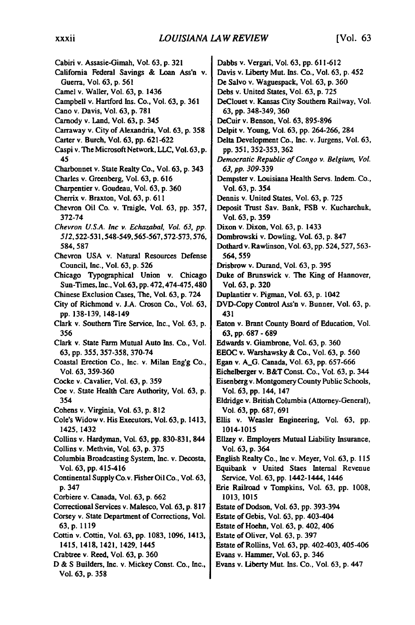|                                                                                  | Dabbs v. Vergari, Vol. 63, pp. 611-612                                                |
|----------------------------------------------------------------------------------|---------------------------------------------------------------------------------------|
| Cabiri v. Assasie-Gimah, Vol. 63, p. 321                                         | Davis v. Liberty Mut. Ins. Co., Vol. 63, p. 452                                       |
| California Federal Savings & Loan Ass'n v.                                       |                                                                                       |
| Guerra, Vol. 63, p. 561<br>Camel v. Waller, Vol. 63, p. 1436                     | De Salvo v. Waguespack, Vol. 63, p. 360                                               |
|                                                                                  | Debs v. United States, Vol. 63, p. 725                                                |
| Campbell v. Hartford Ins. Co., Vol. 63, p. 361<br>Cano v. Davis, Vol. 63, p. 781 | DeClouet v. Kansas City Southern Railway, Vol.<br>63, pp. 348-349, 360                |
| Carnody v. Land, Vol. 63, p. 345                                                 | DeCuir v. Benson, Vol. 63, 895-896                                                    |
| Carraway v. City of Alexandria, Vol. 63, p. 358                                  | Delpit v. Young, Vol. 63, pp. 264-266, 284                                            |
| Carter v. Burch, Vol. 63, pp. 621-622                                            | Delta Development Co., Inc. v. Jurgens, Vol. 63,                                      |
| Caspi v. The Microsoft Network, LLC, Vol. 63, p.                                 | pp. 351, 352-353, 362                                                                 |
| 45                                                                               | Democratic Republic of Congo v. Belgium, Vol.                                         |
| Charbonnet v. State Realty Co., Vol. 63, p. 343                                  | 63, pp. 309-339                                                                       |
| Charles v. Greenberg, Vol. 63, p. 616                                            | Dempster v. Louisiana Health Servs. Indem. Co.,                                       |
| Charpentier v. Goudeau, Vol. 63, p. 360                                          | Vol. 63, p. 354                                                                       |
| Cherrix v. Braxton, Vol. 63, p. 611                                              | Dennis v. United States, Vol. 63, p. 725                                              |
| Chevron Oil Co. v. Traigle, Vol. 63, pp. 357,                                    | Deposit Trust Sav. Bank, FSB v. Kucharchuk,                                           |
| 372-74                                                                           | Vol. 63, p. 359                                                                       |
| Chevron U.S.A. Inc v. Echazabal, Vol. 63, pp.                                    | Dixon v. Dixon, Vol. 63, p. 1433                                                      |
| 512, 522-531, 548-549, 565-567, 572-573, 576,                                    | Dombrowski v. Dowling, Vol. 63, p. 847                                                |
| 584, 587                                                                         | Dothard v. Rawlinson, Vol. 63, pp. 524, 527, 563-                                     |
| Chevron USA v. Natural Resources Defense                                         | 564, 559                                                                              |
| Council, Inc., Vol. 63, p. 526                                                   | Drisbrow v. Durand, Vol. 63, p. 395                                                   |
| Chicago Typographical Union v. Chicago                                           | Duke of Brunswick v. The King of Hannover,                                            |
| Sun-Times, Inc., Vol. 63, pp. 472, 474-475, 480                                  | Vol. 63, p. 320                                                                       |
| Chinese Exclusion Cases, The, Vol. 63, p. 724                                    | Duplantier v. Pigman, Vol. 63, p. 1042                                                |
| City of Richmond v. J.A. Croson Co., Vol. 63,                                    | DVD-Copy Control Ass'n v. Bunner, Vol. 63, p.                                         |
| pp. 138-139, 148-149                                                             | 431                                                                                   |
| Clark v. Southern Tire Service, Inc., Vol. 63, p.<br>356                         | Eaton v. Brant County Board of Education, Vol.<br>63, pp. 687 - 689                   |
| Clark v. State Farm Mutual Auto Ins. Co., Vol.                                   | Edwards v. Giambrone, Vol. 63, p. 360                                                 |
| 63, pp. 355, 357-358, 370-74                                                     | EEOC v. Warshawsky & Co., Vol. 63, p. 560                                             |
| Coastal Erection Co., Inc. v. Milan Eng'g Co.,                                   | Egan v. A_G. Canada, Vol. 63, pp. 657-666                                             |
| Vol. 63, 359-360                                                                 | Eichelberger v. B&T Const. Co., Vol. 63, p. 344                                       |
| Cocke v. Cavalier, Vol. 63, p. 359                                               | Eisenberg v. Montgomery County Public Schools,                                        |
| Coe v. State Health Care Authority, Vol. 63, p.                                  | Vol. 63, pp. 144, 147                                                                 |
| 354                                                                              | Eldridge v. British Columbia (Attorney-General),                                      |
| Cohens v. Virginia, Vol. 63, p. 812                                              | Vol. 63, pp. 687, 691                                                                 |
| Cole's Widow v. His Executors, Vol. 63, p. 1413,<br>1425, 1432                   | Ellis v. Weasler Engineering, Vol. 63, pp.<br>1014-1015                               |
| Collins v. Hardyman, Vol. 63, pp. 830-831, 844                                   | Ellzey v. Employers Mutual Liability Insurance,                                       |
| Collins v. Methvin, Vol. 63, p. 375                                              | Vol. 63, p. 364                                                                       |
| Columbia Broadcasting System, Inc. v. Decosta,                                   | English Realty Co., Inc v. Meyer, Vol. 63, p. 115                                     |
| Vol. 63, pp. 415-416<br>Continental Supply Co.v. Fisher Oil Co., Vol. 63,        | Equibank v United Staes Internal Revenue                                              |
| p. 347                                                                           | Service, Vol. 63, pp. 1442-1444, 1446<br>Erie Railroad v Tompkins, Vol. 63, pp. 1008, |
| Corbiere v. Canada, Vol. 63, p. 662                                              | 1013, 1015                                                                            |
| Correctional Services v. Malesco, Vol. 63, p. 817                                | Estate of Dodson, Vol. 63, pp. 393-394                                                |
| Corsey v. State Department of Corrections, Vol.                                  | Estate of Gebis, Vol. 63, pp. 403-404                                                 |
| 63, p. 1119                                                                      | Estate of Hoehn, Vol. 63, p. 402, 406                                                 |
| Cottin v. Cottin, Vol. 63, pp. 1083, 1096, 1413,<br>1415, 1418, 1421, 1429, 1445 | Estate of Oliver, Vol. 63, p. 397                                                     |
| Crabtree v. Reed, Vol. 63, p. 360                                                | Estate of Rollins, Vol. 63, pp. 402-403, 405-406<br>Evans v. Hammer, Vol. 63, p. 346  |
| D & S Builders, Inc. v. Mickey Const. Co., Inc.,                                 | Evans v. Liberty Mut. Ins. Co., Vol. 63, p. 447                                       |
| Vol. 63, p. 358                                                                  |                                                                                       |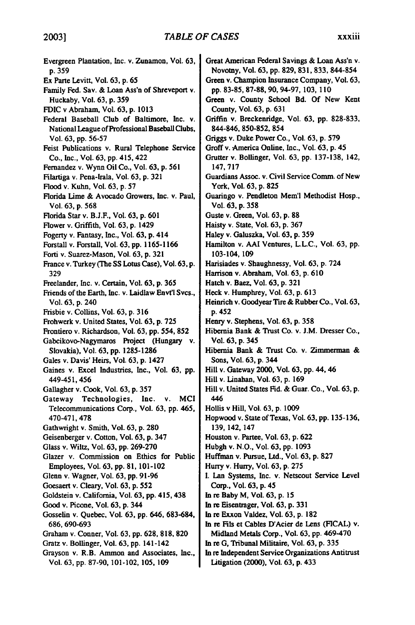| Evergreen Plantation, Inc. v. Zunamon, Vol. 63,<br>р. 359 | Great American Federal Savings & Loan Ass'n v.<br>Novotny, Vol. 63, pp. 829, 831, 833, 844-854 |
|-----------------------------------------------------------|------------------------------------------------------------------------------------------------|
| Ex Parte Levitt, Vol. 63, p. 65                           | Green v. Champion Insurance Company, Vol. 63,                                                  |
| Family Fed. Sav. & Loan Ass'n of Shreveport v.            | pp. 83-85, 87-88, 90, 94-97, 103, 110                                                          |
| Huckaby, Vol. 63, p. 359                                  | Green v. County School Bd. Of New Kent                                                         |
| FDIC v Abraham, Vol. 63, p. 1013                          | County, Vol. 63, p. 631                                                                        |
| Federal Baseball Club of Baltimore, Inc. v.               | Griffin v. Breckenridge, Vol. 63, pp. 828-833,                                                 |
| National League of Professional Baseball Clubs,           | 844-846, 850-852, 854                                                                          |
| Vol. 63, pp. 56-57                                        | Griggs v. Duke Power Co., Vol. 63, p. 579                                                      |
| Feist Publications v. Rural Telephone Service             | Groff v. America Online, Inc., Vol. 63, p. 45                                                  |
| Co., Inc., Vol. 63, pp. 415, 422                          | Grutter v. Bollinger, Vol. 63, pp. 137-138, 142,                                               |
| Fernandez v. Wynn Oil Co., Vol. 63, p. 561                | 147, 717                                                                                       |
| Filartiga v. Pena-Irala, Vol. 63, p. 321                  | Guardians Assoc. v. Civil Service Comm. of New                                                 |
| Flood v. Kuhn, Vol. 63, p. 57                             | York, Vol. 63, p. 825                                                                          |
| Florida Lime & Avocado Growers, Inc. v. Paul,             | Guaringo v. Pendleton Mem'l Methodist Hosp.,                                                   |
| Vol. 63, p. 568                                           | Vol. 63, p. 358                                                                                |
| Florida Star v. B.J.F., Vol. 63, p. 601                   | Guste v. Green, Vol. 63, p. 88                                                                 |
| Flower v. Griffith, Vol. 63, p. 1429                      | Haisty v. State, Vol. 63, p. 367                                                               |
| Fogerty v. Fantasy, Inc., Vol. 63, p. 414                 | Haley v. Galuszka, Vol. 63, p. 359                                                             |
| Forstall v. Forstall, Vol. 63, pp. 1165-1166              | Hamilton v. AAI Ventures, L.L.C., Vol. 63, pp.                                                 |
| Forti v. Suarez-Mason, Vol. 63, p. 321                    | 103-104, 109                                                                                   |
| France v. Turkey (The SS Lotus Case), Vol. 63, p.         | Harisiades v. Shaughnessy, Vol. 63, p. 724                                                     |
| 329                                                       | Harrison v. Abraham, Vol. 63, p. 610                                                           |
| Freelander, Inc. v. Certain, Vol. 63, p. 365              | Hatch v. Baez, Vol. 63, p. 321                                                                 |
| Friends of the Earth, Inc. v. Laidlaw Envt'l Svcs.,       | Heck v. Humphrey, Vol. 63, p. 613                                                              |
| Vol. 63, p. 240                                           | Heinrich v. Goodyear Tire & Rubber Co., Vol. 63,                                               |
| Frisbie v. Collins, Vol. 63, p. 316                       | p. 452                                                                                         |
| Frohwerk v. United States, Vol. 63, p. 725                | Henry v. Stephens, Vol. 63, p. 358                                                             |
| Frontiero v. Richardson, Vol. 63, pp. 554, 852            | Hibernia Bank & Trust Co. v. J.M. Dresser Co.,                                                 |
| Gabcikovo-Nagymaros Project (Hungary<br>V.                | Vol. 63, p. 345                                                                                |
| Slovakia), Vol. 63, pp. 1285-1286                         | Hibernia Bank & Trust Co. v. Zimmerman &                                                       |
| Gales v. Davis' Heirs, Vol. 63, p. 1427                   | Sons, Vol. 63, p. 344                                                                          |
| Gaines v. Excel Industries, Inc., Vol. 63, pp.            | Hill v. Gateway 2000, Vol. 63, pp. 44, 46                                                      |
| 449-451, 456                                              | Hill v. Linahan, Vol. 63, p. 169                                                               |
| Gallagher v. Cook, Vol. 63, p. 357                        | Hill v. United States Fid. & Guar. Co., Vol. 63, p.                                            |
| Gateway Technologies, Inc.<br><b>MCI</b><br>v.            | 446                                                                                            |
| Telecommunications Corp., Vol. 63, pp. 465,               | Hollis v Hill, Vol. 63, p. 1009                                                                |
| 470-471, 478<br>Gathwright v. Smith, Vol. 63, p. 280      | Hopwood v. State of Texas, Vol. 63, pp. 135-136,<br>139, 142, 147                              |
| Geisenberger v. Cotton, Vol. 63, p. 347                   | Houston v. Partee, Vol. 63, p. 622                                                             |
| Glass v. Wiltz, Vol. 63, pp. 269-270                      | Hubgh v. N.O., Vol. 63, pp. 1093                                                               |
| Glazer v. Commission on Ethics for Public                 | Huffman v. Pursue, Ltd., Vol. 63, p. 827                                                       |
| Employees, Vol. 63, pp. 81, 101-102                       | Hurry v. Hurry, Vol. 63, p. 275                                                                |
| Glenn v. Wagner, Vol. 63, pp. 91-96                       | I. Lan Systems, Inc. v. Netscout Service Level                                                 |
| Goesaert v. Cleary, Vol. 63, p. 552                       | Corp., Vol. 63, p. 45                                                                          |
| Goldstein v. California, Vol. 63, pp. 415, 438            | In re Baby M, Vol. 63, p. 15                                                                   |
| Good v. Picone, Vol. 63, p. 344                           | In re Eisentrager, Vol. 63, p. 331                                                             |
| Gosselin v. Quebec, Vol. 63, pp. 646, 683-684,            | In re Exxon Valdez, Vol. 63, p. 182                                                            |
| 686, 690-693                                              | In re Fils et Cables D'Acier de Lens (FICAL) v.                                                |
| Graham v. Conner, Vol. 63, pp. 628, 818, 820              | Midland Metals Corp., Vol. 63, pp. 469-470                                                     |
| Gratz v. Bollinger, Vol. 63, pp. 141-142                  | In re G, Tribunal Militaire, Vol. 63, p. 335                                                   |
| Grayson v. R.B. Ammon and Associates, Inc.,               | In re Independent Service Organizations Antitrust                                              |
| Vol. 63, pp. 87-90, 101-102, 105, 109                     | Litigation (2000), Vol. 63, p. 433                                                             |
|                                                           |                                                                                                |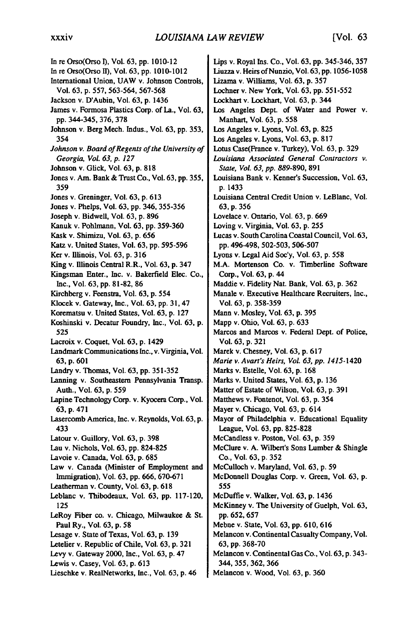| In re Orso(Orso I), Vol. 63, pp. 1010-12         | Lips v. Royal Ins. Co., Vol. 63, pp. 345-346, 357 |
|--------------------------------------------------|---------------------------------------------------|
| In re Orso(Orso II), Vol. 63, pp. 1010-1012      | Liuzza v. Heirs of Nunzio, Vol. 63, pp. 1056-1058 |
| International Union, UAW v. Johnson Controls,    | Lizama v. Williams, Vol. 63, p. 357               |
| Vol. 63, p. 557, 563-564, 567-568                | Lochner v. New York, Vol. 63, pp. 551-552         |
| Jackson v. D'Aubin, Vol. 63, p. 1436             | Lockhart v. Lockhart, Vol. 63, p. 344             |
| James v. Formosa Plastics Corp. of La., Vol. 63, | Los Angeles Dept. of Water and Power v.           |
| рр. 344-345, 376, 378                            | Manhart, Vol. 63, p. 558                          |
| Johnson v. Berg Mech. Indus., Vol. 63, pp. 353,  | Los Angeles v. Lyons, Vol. 63, p. 825             |
| 354                                              | Los Angeles v. Lyons, Vol. 63, p. 817             |
| Johnson v. Board of Regents of the University of | Lotus Case(France v. Turkey), Vol. 63, p. 329     |
| Georgia, Vol. 63, p. 127                         | Louisiana Associated General Contractors v.       |
| Johnson v. Glick, Vol. 63, p. 818                | State, Vol. 63, pp. 889-890, 891                  |
|                                                  | Louisiana Bank v. Kenner's Succession, Vol. 63,   |
| Jones v. Am. Bank & Trust Co., Vol. 63, pp. 355, |                                                   |
| 359                                              | p. 1433                                           |
| Jones v. Greninger, Vol. 63, p. 613              | Louisiana Central Credit Union v. LeBlanc, Vol.   |
| Jones v. Phelps, Vol. 63, pp. 346, 355-356       | 63, p. 356                                        |
| Joseph v. Bidwell, Vol. 63, p. 896               | Lovelace v. Ontario, Vol. 63, p. 669              |
| Kanuk v. Pohlmann, Vol. 63, pp. 359-360          | Loving v. Virginia, Vol. 63, p. 255               |
| Kask v. Shimizu, Vol. 63, p. 656                 | Lucas v. South Carolina Coastal Council, Vol. 63, |
| Katz v. United States, Vol. 63, pp. 595-596      | pp. 496-498, 502-503, 506-507                     |
| Ker v. Illinois, Vol. 63, p. 316                 | Lyons v. Legal Aid Soc'y, Vol. 63, p. 558         |
| King v. Illinois Central R.R., Vol. 63, p. 347   | M.A. Mortenson Co. v. Timberline Software         |
| Kingsman Enter., Inc. v. Bakerfield Elec. Co.,   | Corp., Vol. 63, p. 44                             |
| Inc., Vol. 63, pp. 81-82, 86                     | Maddie v. Fidelity Nat. Bank, Vol. 63, p. 362     |
| Kirchberg v. Feenstra, Vol. 63, p. 554           | Manale v. Executive Healthcare Recruiters, Inc.,  |
| Klocek v. Gateway, Inc., Vol. 63, pp. 31, 47     | Vol. 63, p. 358-359                               |
| Korematsu v. United States, Vol. 63, p. 127      | Mann v. Mosley, Vol. 63, p. 395                   |
| Koshinski v. Decatur Foundry, Inc., Vol. 63, p.  | Mapp v. Ohio, Vol. 63, p. 633                     |
| 525                                              | Marcos and Marcos v. Federal Dept. of Police,     |
| Lacroix v. Coquet, Vol. 63, p. 1429              | Vol. 63, p. 321                                   |
| Landmark Communications Inc., v. Virginia, Vol.  | Marek v. Chesney, Vol. 63, p. 617                 |
|                                                  | Marie v. Avart's Heirs, Vol. 63, pp. 1415-1420    |
| 63, p. 601                                       |                                                   |
| Landry v. Thomas, Vol. 63, pp. 351-352           | Marks v. Estelle, Vol. 63, p. 168                 |
| Lanning v. Southeastern Pennsylvania Transp.     | Marks v. United States, Vol. 63, p. 136           |
| Auth., Vol. 63, p. 559                           | Matter of Estate of Wilson, Vol. 63, p. 391       |
| Lapine Technology Corp. v. Kyocera Corp., Vol.   | Matthews v. Fontenot, Vol. 63, p. 354             |
| 63, p. 471                                       | Mayer v. Chicago, Vol. 63, p. 614                 |
| Lasercomb America, Inc. v. Reynolds, Vol. 63, p. | Mayor of Philadelphia v. Educational Equality     |
| 433                                              | League, Vol. 63, pp. 825-828                      |
| Latour v. Guillory, Vol. 63, p. 398              | McCandless v. Poston, Vol. 63, p. 359             |
| Lau v. Nichols, Vol. 63, pp. 824-825             | McClure v. A. Wilbert's Sons Lumber & Shingle     |
| Lavoie v. Canada, Vol. 63, p. 685                | Co., Vol. 63, p. 352                              |
| Law v. Canada (Minister of Employment and        | McCulloch v. Maryland, Vol. 63, p. 59             |
| Immigration), Vol. 63, pp. 666, 670-671          | McDonnell Douglas Corp. v. Green, Vol. 63, p.     |
| Leatherman v. County, Vol. 63, p. 618            | 555                                               |
| Leblanc v. Thibodeaux, Vol. 63, pp. 117-120,     | McDuffie v. Walker, Vol. 63, p. 1436              |
| 125                                              | McKinney v. The University of Guelph, Vol. 63,    |
| LeRoy Fiber co. v. Chicago, Milwaukee & St.      | рр. 652, 657                                      |
| Paul Ry., Vol. 63, p. 58                         | Mebne v. State, Vol. 63, pp. 610, 616             |
| Lesage v. State of Texas, Vol. 63, p. 139        | Melancon v. Continental Casualty Company, Vol.    |
| Letelier v. Republic of Chile, Vol. 63, p. 321   | 63, pp. 368-70                                    |
| Levy v. Gateway 2000, Inc., Vol. 63, p. 47       | Melancon v. Continental Gas Co., Vol. 63, p. 343- |
| Lewis v. Casey, Vol. 63, p. 613                  | 344, 355, 362, 366                                |
| Lieschke v. RealNetworks, Inc., Vol. 63, p. 46   | Melancon v. Wood, Vol. 63, p. 360                 |
|                                                  |                                                   |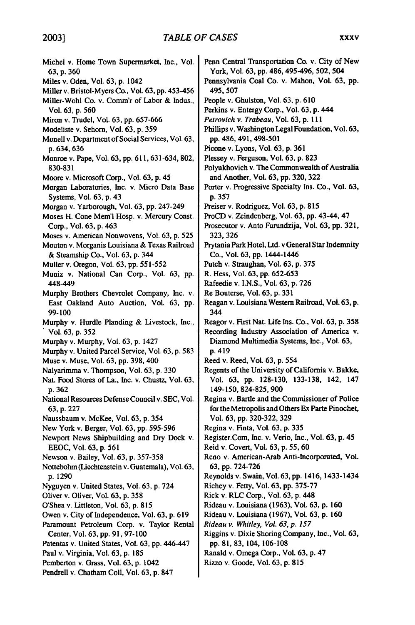| Michel v. Home Town Supermarket, Inc., Vol.                                              | Penn Central Transportation Co. v. City of New                                            |
|------------------------------------------------------------------------------------------|-------------------------------------------------------------------------------------------|
| 63, p. 360<br>Miles v. Oden, Vol. 63, p. 1042                                            | York, Vol. 63, pp. 486, 495-496, 502, 504<br>Pennsylvania Coal Co. v. Mahon, Vol. 63, pp. |
| Miller v. Bristol-Myers Co., Vol. 63, pp. 453-456                                        | 495, 507                                                                                  |
| Miller-Wohl Co. v. Comm'r of Labor & Indus.,<br>Vol. 63, p. 560                          | People v. Ghulston, Vol. 63, p. 610<br>Perkins v. Entergy Corp., Vol. 63, p. 444          |
| Miron v. Trudel, Vol. 63, pp. 657-666                                                    | Petrovich v. Trabeau, Vol. 63, p. 111                                                     |
| Modeliste v. Sehorn, Vol. 63, p. 359                                                     | Phillips v. Washington Legal Foundation, Vol. 63,                                         |
| Monell v. Department of Social Services, Vol. 63,                                        | pp. 486, 491, 498-501                                                                     |
| p. 634, 636                                                                              | Picone v. Lyons, Vol. 63, p. 361                                                          |
| Monroe v. Pape, Vol. 63, pp. 611, 631-634, 802,                                          | Plessey v. Ferguson, Vol. 63, p. 823                                                      |
| 830-831                                                                                  | Polyukhovich v. The Commonwealth of Australia                                             |
| Moore v. Microsoft Corp., Vol. 63, p. 45<br>Morgan Laboratories, Inc. v. Micro Data Base | and Another, Vol. 63, pp. 320, 322<br>Porter v. Progressive Specialty Ins. Co., Vol. 63,  |
| Systems, Vol. 63, p. 43                                                                  | p. 357                                                                                    |
| Morgan v. Yarborough, Vol. 63, pp. 247-249                                               | Preiser v. Rodriguez, Vol. 63, p. 815                                                     |
| Moses H. Cone Mem'l Hosp. v. Mercury Const.                                              | ProCD v. Zeindenberg, Vol. 63, pp. 43-44, 47                                              |
| Corp., Vol. 63, p. 463                                                                   | Prosecutor v. Anto Furundzija, Vol. 63, pp. 321,                                          |
| Moses v. American Nonwovens, Vol. 63, p. 525                                             | 323, 326                                                                                  |
| Mouton v. Morganis Louisiana & Texas Railroad<br>& Steamship Co., Vol. 63, p. 344        | Prytania Park Hotel, Ltd. v General Star Indemnity<br>Co., Vol. 63, pp. 1444-1446         |
| Muller v. Oregon, Vol. 63, pp. 551-552                                                   | Putch v. Straughan, Vol. 63, p. 375                                                       |
| Muniz v. National Can Corp., Vol. 63, pp.                                                | R. Hess, Vol. 63, pp. 652-653                                                             |
| 448-449                                                                                  | Rafeedie v. I.N.S., Vol. 63, p. 726                                                       |
| Murphy Brothers Chevrolet Company, Inc. v.                                               | Re Bouterse, Vol. 63, p. 331                                                              |
| East Oakland Auto Auction, Vol. 63, pp.<br>99-100                                        | Reagan v. Louisiana Western Railroad, Vol. 63, p.<br>344                                  |
| Murphy v. Hurdle Planding & Livestock, Inc.,                                             | Reagor v. First Nat. Life Ins. Co., Vol. 63, p. 358                                       |
| Vol. 63, p. 352                                                                          | Recording Industry Association of America v.                                              |
| Murphy v. Murphy, Vol. 63, p. 1427                                                       | Diamond Multimedia Systems, Inc., Vol. 63,                                                |
| Murphy v. United Parcel Service, Vol. 63, p. 583<br>Muse v. Muse, Vol. 63, pp. 398, 400  | p. 419<br>Reed v. Reed, Vol. 63, p. 554                                                   |
| Nalyarimma v. Thompson, Vol. 63, p. 330                                                  | Regents of the University of California v. Bakke,                                         |
| Nat. Food Stores of La., Inc. v. Chustz, Vol. 63,<br>p. 362                              | Vol. 63, pp. 128-130, 133-138, 142, 147<br>149-150, 824-825, 900                          |
| National Resources Defense Council v. SEC, Vol.                                          | Regina v. Bartle and the Commissioner of Police                                           |
| 63, p. 227                                                                               | for the Metropolis and Others Ex Parte Pinochet,                                          |
| Naussbaum v. McKee, Vol. 63, p. 354                                                      | Vol. 63, pp. 320-322, 329                                                                 |
| New York v. Berger, Vol. 63, pp. 595-596                                                 | Regina v. Finta, Vol. 63, p. 335                                                          |
| Newport News Shipbuilding and Dry Dock v.                                                | Register.Com, Inc. v. Verio, Inc., Vol. 63, p. 45                                         |
| EEOC, Vol. 63, p. 561                                                                    | Reid v. Covert, Vol. 63, p. 55, 60                                                        |
| Newson v. Bailey, Vol. 63, p. 357-358                                                    | Reno v. American-Arab Anti-Incorporated, Vol.                                             |
| Nottebohm (Liechtenstein v. Guatemala), Vol. 63,                                         | 63, pp. 724-726                                                                           |
| p. 1290                                                                                  | Reynolds v. Swain, Vol. 63, pp. 1416, 1433-1434                                           |
| Nyguyen v. United States, Vol. 63, p. 724<br>Oliver v. Oliver, Vol. 63, p. 358           | Richey v. Fetty, Vol. 63, pp. 375-77<br>Rick v. RLC Corp., Vol. 63, p. 448                |
| O'Shea v. Littleton, Vol. 63, p. 815                                                     | Rideau v. Louisiana (1963), Vol. 63, p. 160                                               |
| Owen v. City of Independence, Vol. 63, p. 619                                            | Rideau v. Louisiana (1967), Vol. 63, p. 160                                               |
| Paramount Petroleum Corp. v. Taylor Rental                                               | Rideau v. Whitley, Vol. 63, p. 157                                                        |
| Center, Vol. 63, pp. 91, 97-100                                                          | Riggins v. Dixie Shoring Company, Inc., Vol. 63,                                          |
| Patentas v. United States, Vol. 63, pp. 446-447                                          | pp. 81, 83, 104, 106-108                                                                  |
| Paul v. Virginia, Vol. 63, p. 185                                                        | Ranald v. Omega Corp., Vol. 63, p. 47                                                     |
| Pemberton v. Grass, Vol. 63, p. 1042                                                     | Rizzo v. Goode, Vol. 63, p. 815                                                           |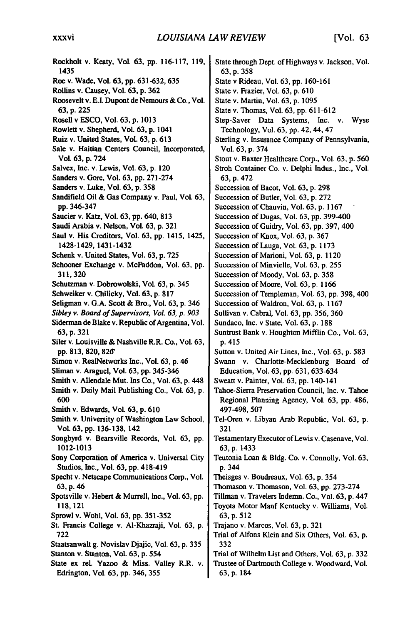Rockholt v. Keaty, Vol. **63, pp. 116-117, 119,**  1435 Roe v. Wade, Vol. **63, pp.** 631-632, **635**  Rollins v. Causey, Vol. 63, **p.** 362 Roosevelt v. **E.I.** Dupont de Nemours & Co., Vol. 63, **p.** 225 Rosell v ESCO, Vol. 63, **p.** 1013 Rowlett v. Shepherd, Vol. 63, **p.** 1041 Ruiz v. United States, Vol. 63, **p.** 613 Sale v. Haitian Centers Council, Incorporated, Vol. **63, p.** 724 Salvex, Inc. v. Lewis, Vol. **63, p.** 120 Sanders v. Gore, Vol. **63, pp. 271-274**  Sanders v. Luke, Vol. **63, p. 358**  Sandifield Oil & Gas Company v. Paul, Vol. **63, pp.** 346-347 **Saucier** v. Katz, Vol. **63, pp.** 640, **813**  Saudi Arabia v. Nelson, Vol. **63, p. 321**  Saul v. His Creditors, Vol. **63, pp.** 1415, 1425, 1428-1429, 1431-1432 Schenk v. United States, Vol. **63, p. 725**  Schooner Exchange v. McFaddon, Vol. **63, pp. 311,320**  Schutzman v. Dobrowolski, Vol. **63, p.** 345 Schweiker v. Chilicky, Vol. **63, p. 817**  Seligman v. **G.A.** Scott **&** Bro., Vol. **63, p.** 346 *Sibley v. BoardofSupervisors,Vol. 63, p. 903*  Siderman de Blake v. Republic of Argentina, Vol. **63, p. 321**  Siler v. Louisville & Nashville R.R. Co., Vol. **63, pp. 813,** 820, **82"**  Simon v. RealNetworks Inc., Vol. 63, p. 46 Sliman v. Araguel, Vol. **63, pp.** 345-346 Smith v. Allendale Mut. Ins Co., Vol. **63, p.** 448 Smith v. Daily Mail Publishing Co., Vol. **63, p. 600**  Smith v. Edwards, Vol. **63, p. 610**  Smith v. University of Washington Law School, Vol. **63, pp. 136-138,** 142 Songbyrd v. Bearsville Records, Vol. **63, pp. 1012-1013**  Sony Corporation of America v. Universal City Studios, Inc., Vol. **63, pp.** 418-419 Specht v. Netscape Communications Corp., Vol. **63, p.** 46 Spotsville v. Hebert & **Murrell,** Inc., Vol. **63, pp. 118,121**  Sprowl v. Wohl, Vol. **63, pp. 351-352**  St. Francis College v. AI-Khazraji, Vol. **63, p. 722**  Staatsanwalt **g.** Novislav Djajic, Vol. **63, p. 335**  Stanton v. Stanton, Vol. **63, p.** 554 State ex rel. Yazoo & Miss. Valley R.R. v. Edrington, Vol. **63, pp.** 346, **355 63, p.** 358 63, p. 472 p. 415 321 63, p. 1433 **p.** 344 63, **p.** 512 332 63, p. 184

State through Dept. of Highways v. Jackson, Vol. State v Rideau, Vol. 63, pp. 160-161 State v. Frazier, Vol. 63, p. 610 State v. Martin, Vol. 63, p. 1095 State v. Thomas, Vol. 63, pp. 611-612 Step-Saver Data Systems, Inc. v. Wyse Technology, Vol. 63, pp. 42, 44, 47 Sterling v. Insurance Company of Pennsylvania, Vol. 63, p. 374 Stout v. Baxter Healthcare Corp., Vol. 63, p. 560 Stroh Container Co. v. Delphi Indus., Inc., Vol. Succession of Bacot, Vol. **63,** p. 298 Succession of Butler, Vol. 63, p. 272 Succession of Chauvin, Vol. 63, p. 1167 Succession of Dugas, Vol. 63, pp. 399-400 Succession of Guidry, Vol. 63, pp. 397, 400 Succession of Knox, Vol. 63, p. 367 Succession of Lauga, Vol. 63, p. 1173 Succession of Marioni, Vol. 63, p. 1120 Succession of Minvielle, Vol. 63, p. 255 Succession of Moody, Vol. 63, p. 358 Succession of Moore, Vol. 63, p. 1166 Succession of Templeman, Vol. 63, pp. 398,400 Succession of Waldron, Vol. 63, p. 1167 Sullivan v. Cabral, Vol. 63, pp. 356, 360 Sundaco, Inc. v State, Vol. 63, p. 188 Suntrust Bank v. Houghton Mifflin Co., Vol. 63, Sutton v. United Air Lines, Inc., Vol. **63,** p. 583 Swann v. Charlotte-Mecklenburg Board of Education, Vol. 63, pp. 631, 633-634 Sweatt v. Painter, Vol. 63, pp. 140-141 Tahoe-Sierra Preservation Council, Inc. v. Tahoe Regional Planning Agency, Vol. 63, pp. 486, 497-498, 507 Tel-Oren v. Libyan Arab Republic, Vol. 63, p. Testamentary Executor of Lewis v. Casenave, Vol. Teutonia Loan & Bldg. Co. v. Connolly, Vol. 63, Theisges v. Boudreaux, Vol. 63, p. 354 Thomason v. Thomason, Vol. 63, **pp.** 273-274 Tillman v. Travelers Indemn. Co., Vol. 63, p. 447 Toyota Motor Manf Kentucky v. Williams, Vol. Trajano v. Marcos, Vol. 63, p. 321 Trial of Alfons Klein and Six Others, Vol. 63, p. Trial of Wilhelm List and Others, Vol. 63, p. 332 Trustee of Dartmouth College v. Woodward, Vol.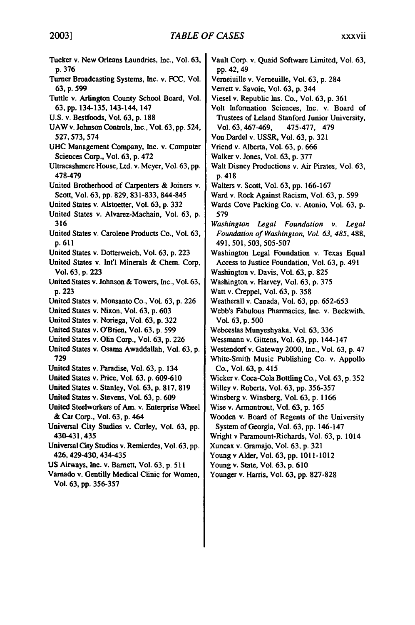| 316<br>Washington Legal Foundation<br>ν.<br>United States v. Carolene Products Co., Vol. 63,<br>491, 501, 503, 505-507<br>p. 611<br>United States v. Dotterweich, Vol. 63, p. 223<br>United States v. Int'l Minerals & Chem. Corp,<br>Access to Justice Foundation, Vol. 63, p. 491<br>Vol. 63, p. 223<br>Washington v. Davis, Vol. 63, p. 825<br>United States v. Johnson & Towers, Inc., Vol. 63,<br>Washington v. Harvey, Vol. 63, p. 375<br>Watt v. Creppel, Vol. 63, p. 358<br>p. 223<br>United States v. Monsanto Co., Vol. 63, p. 226<br>Weatherall v. Canada, Vol. 63, pp. 652-653<br>United States v. Nixon, Vol. 63, p. 603<br>United States v. Noriega, Vol. 63, p. 322<br>Vol. 63, p. 500<br>United States v. O'Brien, Vol. 63, p. 599<br>Webceslas Munyeshyaka, Vol. 63, 336<br>United States v. Olin Corp., Vol. 63, p. 226<br>Wessmann v. Gittens, Vol. 63, pp. 144-147<br>United States v. Osama Awaddallah, Vol. 63, p.<br>729<br>United States v. Paradise, Vol. 63, p. 134<br>Co., Vol. 63, p. 415<br>United States v. Price, Vol. 63, p. 609-610<br>United States v. Stanley, Vol. 63, p. 817, 819<br>Willey v. Roberts, Vol. 63, pp. 356-357<br>United States v. Stevens, Vol. 63, p. 609<br>Winsberg v. Winsberg, Vol. 63, p. 1166<br>United Steelworkers of Am. v. Enterprise Wheel<br>Wise v. Armontrout, Vol. 63, p. 165<br>& Car Corp., Vol. 63, p. 464<br>Universal City Studios v. Corley, Vol. 63, pp.<br>System of Georgia, Vol. 63, pp. 146-147 | Tucker v. New Orleans Laundries, Inc., Vol. 63,<br>p. 376<br>Turner Broadcasting Systems, Inc. v. FCC, Vol.<br>63, p. 599<br>Tuttle v. Arlington County School Board, Vol.<br>63, pp. 134-135, 143-144, 147<br>U.S. v. Bestfoods, Vol. 63, p. 188<br>UAW v. Johnson Controls, Inc., Vol. 63, pp. 524,<br>527, 573, 574<br>UHC Management Company, Inc. v. Computer<br>Sciences Corp., Vol. 63, p. 472<br>Ultracashmere House, Ltd. v. Meyer, Vol. 63, pp.<br>478-479<br>United Brotherhood of Carpenters & Joiners v.<br>Scott, Vol. 63, pp. 829, 831-833, 844-845<br>United States v. Alstoetter, Vol. 63, p. 332<br>United States v. Alvarez-Machain, Vol. 63, p. | Vault Corp. v. Quaid Software Limited, Vol. 63,<br>pp. 42, 49<br>Verneiuille v. Verneuille, Vol. 63, p. 284<br>Verrett v. Savoie, Vol. 63, p. 344<br>Viesel v. Republic Ins. Co., Vol. 63, p. 361<br>Volt Information Sciences, Inc. v. Board of<br>Trustees of Leland Stanford Junior University,<br>Vol. 63, 467-469,<br>475-477, 479<br>Von Dardel v. USSR, Vol. 63, p. 321<br>Vriend v. Alberta, Vol. 63, p. 666<br>Walker v. Jones, Vol. 63, p. 377<br>Walt Disney Productions v. Air Pirates, Vol. 63,<br>p. 418<br>Walters v. Scott, Vol. 63, pp. 166-167<br>Ward v. Rock Against Racism, Vol. 63, p. 599<br>Wards Cove Packing Co. v. Atonio, Vol. 63, p.<br>579 |
|--------------------------------------------------------------------------------------------------------------------------------------------------------------------------------------------------------------------------------------------------------------------------------------------------------------------------------------------------------------------------------------------------------------------------------------------------------------------------------------------------------------------------------------------------------------------------------------------------------------------------------------------------------------------------------------------------------------------------------------------------------------------------------------------------------------------------------------------------------------------------------------------------------------------------------------------------------------------------------------------------------------------------------------------------------------------------------------------------------------------------------------------------------------------------------------------------------------------------------------------------------------------------------------------------------------------------------------------------------------------------------------------------------------------------------------------------------------------------------|---------------------------------------------------------------------------------------------------------------------------------------------------------------------------------------------------------------------------------------------------------------------------------------------------------------------------------------------------------------------------------------------------------------------------------------------------------------------------------------------------------------------------------------------------------------------------------------------------------------------------------------------------------------------|--------------------------------------------------------------------------------------------------------------------------------------------------------------------------------------------------------------------------------------------------------------------------------------------------------------------------------------------------------------------------------------------------------------------------------------------------------------------------------------------------------------------------------------------------------------------------------------------------------------------------------------------------------------------------|
| Universal City Studios v. Remierdes, Vol. 63, pp.<br>Xuncax v. Gramajo, Vol. 63, p. 321<br>426, 429-430, 434-435<br>Young v Alder, Vol. 63, pp. 1011-1012<br>US Airways, Inc. v. Barnett, Vol. 63, p. 511<br>Young v. State, Vol. 63, p. 610<br>Varnado v. Gentilly Medical Clinic for Women,<br>Younger v. Harris, Vol. 63, pp. 827-828<br>Vol. 63, pp. 356-357                                                                                                                                                                                                                                                                                                                                                                                                                                                                                                                                                                                                                                                                                                                                                                                                                                                                                                                                                                                                                                                                                                               | 430-431, 435                                                                                                                                                                                                                                                                                                                                                                                                                                                                                                                                                                                                                                                        | Legal<br>Foundation of Washington, Vol. 63, 485, 488,<br>Washington Legal Foundation v. Texas Equal<br>Webb's Fabulous Pharmacies, Inc. v. Beckwith,<br>Westendorf v. Gateway 2000, Inc., Vol. 63, p. 47<br>White-Smith Music Publishing Co. v. Appollo<br>Wicker v. Coca-Cola Bottling Co., Vol. 63, p. 352<br>Wooden v. Board of Regents of the University<br>Wright v Paramount-Richards, Vol. 63, p. 1014                                                                                                                                                                                                                                                            |